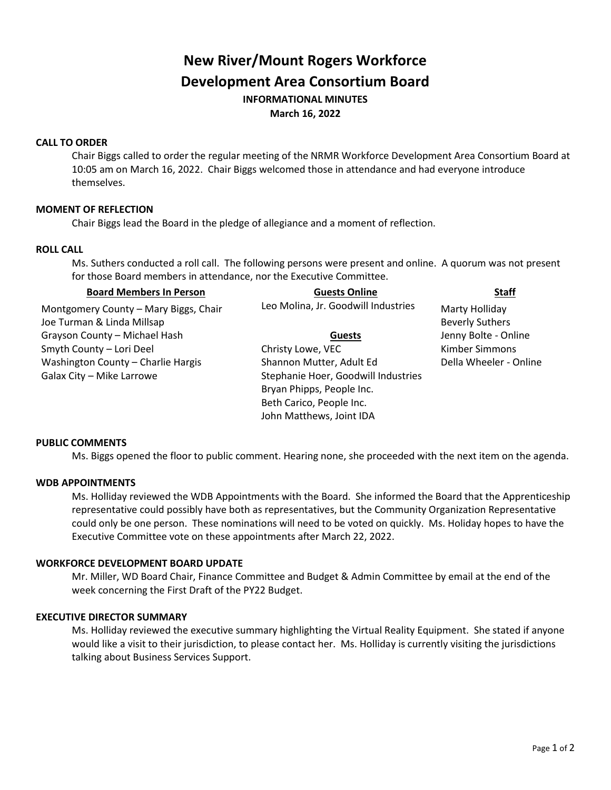# **New River/Mount Rogers Workforce Development Area Consortium Board INFORMATIONAL MINUTES March 16, 2022**

# **CALL TO ORDER**

Chair Biggs called to order the regular meeting of the NRMR Workforce Development Area Consortium Board at 10:05 am on March 16, 2022. Chair Biggs welcomed those in attendance and had everyone introduce themselves.

# **MOMENT OF REFLECTION**

Chair Biggs lead the Board in the pledge of allegiance and a moment of reflection.

## **ROLL CALL**

Ms. Suthers conducted a roll call. The following persons were present and online. A quorum was not present for those Board members in attendance, nor the Executive Committee.

# **Board Members In Person Guests Online Staff** Montgomery County – Mary Biggs, Chair Leo Molina, Jr. Goodwill Industries Marty Holliday Joe Turman & Linda Millsap Beverly Suthers and Discoveries and Discoveries and Discoveries and Discoveries and Beverly Suthers and Discoveries and Discoveries and Discoveries and Discoveries and Discoveries and Discoveries Grayson County – Michael Hash **Guests** Jenny Bolte - Online Smyth County – Lori Deel **State Christy Lowe, VEC** Kimber Simmons Washington County – Charlie Hargis Shannon Mutter, Adult Ed Della Wheeler - Online Galax City – Mike Larrowe Stephanie Hoer, Goodwill Industries Bryan Phipps, People Inc. Beth Carico, People Inc. John Matthews, Joint IDA

#### **PUBLIC COMMENTS**

Ms. Biggs opened the floor to public comment. Hearing none, she proceeded with the next item on the agenda.

#### **WDB APPOINTMENTS**

Ms. Holliday reviewed the WDB Appointments with the Board. She informed the Board that the Apprenticeship representative could possibly have both as representatives, but the Community Organization Representative could only be one person. These nominations will need to be voted on quickly. Ms. Holiday hopes to have the Executive Committee vote on these appointments after March 22, 2022.

#### **WORKFORCE DEVELOPMENT BOARD UPDATE**

Mr. Miller, WD Board Chair, Finance Committee and Budget & Admin Committee by email at the end of the week concerning the First Draft of the PY22 Budget.

#### **EXECUTIVE DIRECTOR SUMMARY**

Ms. Holliday reviewed the executive summary highlighting the Virtual Reality Equipment. She stated if anyone would like a visit to their jurisdiction, to please contact her. Ms. Holliday is currently visiting the jurisdictions talking about Business Services Support.